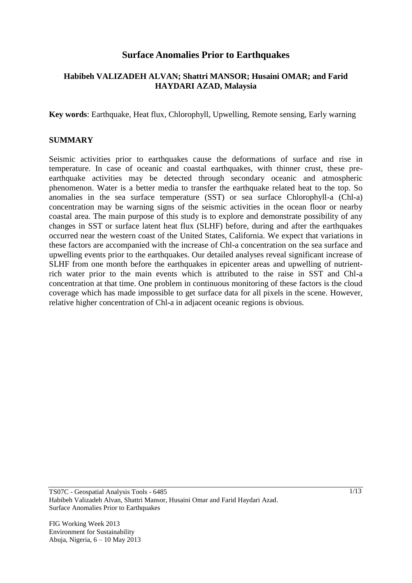# **Surface Anomalies Prior to Earthquakes**

### **Habibeh VALIZADEH ALVAN; Shattri MANSOR; Husaini OMAR; and Farid HAYDARI AZAD, Malaysia**

**Key words**: Earthquake, Heat flux, Chlorophyll, Upwelling, Remote sensing, Early warning

### **SUMMARY**

Seismic activities prior to earthquakes cause the deformations of surface and rise in temperature. In case of oceanic and coastal earthquakes, with thinner crust, these preearthquake activities may be detected through secondary oceanic and atmospheric phenomenon. Water is a better media to transfer the earthquake related heat to the top. So anomalies in the sea surface temperature (SST) or sea surface Chlorophyll-a (Chl-a) concentration may be warning signs of the seismic activities in the ocean floor or nearby coastal area. The main purpose of this study is to explore and demonstrate possibility of any changes in SST or surface latent heat flux (SLHF) before, during and after the earthquakes occurred near the western coast of the United States, California. We expect that variations in these factors are accompanied with the increase of Chl-a concentration on the sea surface and upwelling events prior to the earthquakes. Our detailed analyses reveal significant increase of SLHF from one month before the earthquakes in epicenter areas and upwelling of nutrientrich water prior to the main events which is attributed to the raise in SST and Chl-a concentration at that time. One problem in continuous monitoring of these factors is the cloud coverage which has made impossible to get surface data for all pixels in the scene. However, relative higher concentration of Chl-a in adjacent oceanic regions is obvious.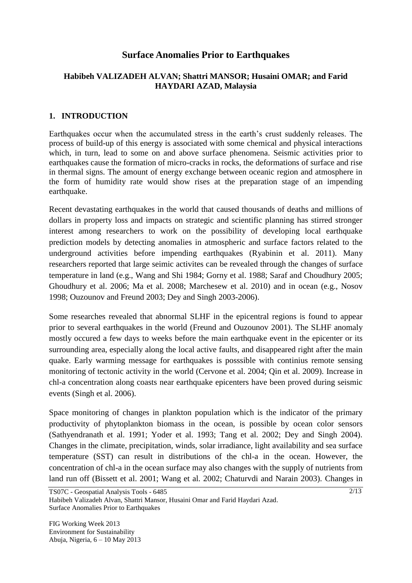# **Surface Anomalies Prior to Earthquakes**

## **Habibeh VALIZADEH ALVAN; Shattri MANSOR; Husaini OMAR; and Farid HAYDARI AZAD, Malaysia**

## **1. INTRODUCTION**

Earthquakes occur when the accumulated stress in the earth's crust suddenly releases. The process of build-up of this energy is associated with some chemical and physical interactions which, in turn, lead to some on and above surface phenomena. Seismic activities prior to earthquakes cause the formation of micro-cracks in rocks, the deformations of surface and rise in thermal signs. The amount of energy exchange between oceanic region and atmosphere in the form of humidity rate would show rises at the preparation stage of an impending earthquake.

Recent devastating earthquakes in the world that caused thousands of deaths and millions of dollars in property loss and impacts on strategic and scientific planning has stirred stronger interest among researchers to work on the possibility of developing local earthquake prediction models by detecting anomalies in atmospheric and surface factors related to the underground activities before impending earthquakes (Ryabinin et al. 2011). Many researchers reported that large seimic activites can be revealed through the changes of surface temperature in land (e.g., Wang and Shi 1984; Gorny et al. 1988; Saraf and Choudhury 2005; Ghoudhury et al. 2006; Ma et al. 2008; Marchesew et al. 2010) and in ocean (e.g., Nosov 1998; Ouzounov and Freund 2003; Dey and Singh 2003-2006).

Some researches revealed that abnormal SLHF in the epicentral regions is found to appear prior to several earthquakes in the world (Freund and Ouzounov 2001). The SLHF anomaly mostly occured a few days to weeks before the main earthquake event in the epicenter or its surrounding area, especially along the local active faults, and disappeared right after the main quake. Early warming message for earthquakes is posssible with continius remote sensing monitoring of tectonic activity in the world (Cervone et al. 2004; Qin et al. 2009). Increase in chl-a concentration along coasts near earthquake epicenters have been proved during seismic events (Singh et al. 2006).

Space monitoring of changes in plankton population which is the indicator of the primary productivity of phytoplankton biomass in the ocean, is possible by ocean color sensors (Sathyendranath et al. 1991; Yoder et al. 1993; Tang et al. 2002; Dey and Singh 2004). Changes in the climate, precipitation, winds, solar irradiance, light availability and sea surface temperature (SST) can result in distributions of the chl-a in the ocean. However, the concentration of chl-a in the ocean surface may also changes with the supply of nutrients from land run off (Bissett et al. 2001; Wang et al. 2002; Chaturvdi and Narain 2003). Changes in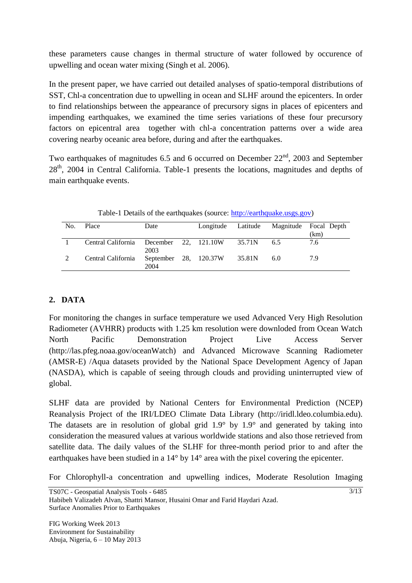these parameters cause changes in thermal structure of water followed by occurence of upwelling and ocean water mixing (Singh et al. 2006).

In the present paper, we have carried out detailed analyses of spatio-temporal distributions of SST, Chl-a concentration due to upwelling in ocean and SLHF around the epicenters. In order to find relationships between the appearance of precursory signs in places of epicenters and impending earthquakes, we examined the time series variations of these four precursory factors on epicentral area together with chl-a concentration patterns over a wide area covering nearby oceanic area before, during and after the earthquakes.

Two earthquakes of magnitudes 6.5 and 6 occurred on December  $22<sup>nd</sup>$ , 2003 and September 28<sup>th</sup>, 2004 in Central California. Table-1 presents the locations, magnitudes and depths of main earthquake events.

| No. | Place                                   | Date                          | Longitude Latitude |        |     | Magnitude Focal Depth<br>(km) |
|-----|-----------------------------------------|-------------------------------|--------------------|--------|-----|-------------------------------|
|     | Central California December 22, 121.10W | 2003                          |                    | 35.71N | 6.5 | 7.6                           |
|     | Central California                      | September 28, 120.37W<br>2004 |                    | 35.81N | 6.0 | 79                            |

Table-1 Details of the earthquakes (source: [http://earthquake.usgs.gov\)](http://earthquake.usgs.gov/)

# **2. DATA**

For monitoring the changes in surface temperature we used Advanced Very High Resolution Radiometer (AVHRR) products with 1.25 km resolution were downloded from Ocean Watch North Pacific Demonstration Project Live Access Server [\(http://las.pfeg.noaa.gov/oceanWatch\)](http://las.pfeg.noaa.gov/oceanWatch) and Advanced Microwave Scanning Radiometer (AMSR-E) /Aqua datasets provided by the National Space Development Agency of Japan (NASDA), which is capable of seeing through clouds and providing uninterrupted view of global.

SLHF data are provided by National Centers for Environmental Prediction (NCEP) Reanalysis Project of the IRI/LDEO Climate Data Library [\(http://iridl.ldeo.columbia.edu\)](http://iridl.ldeo.columbia.edu/). The datasets are in resolution of global grid 1.9° by 1.9° and generated by taking into consideration the measured values at various worldwide stations and also those retrieved from satellite data. The daily values of the SLHF for three-month period prior to and after the earthquakes have been studied in a 14° by 14° area with the pixel covering the epicenter.

For Chlorophyll-a concentration and upwelling indices, Moderate Resolution Imaging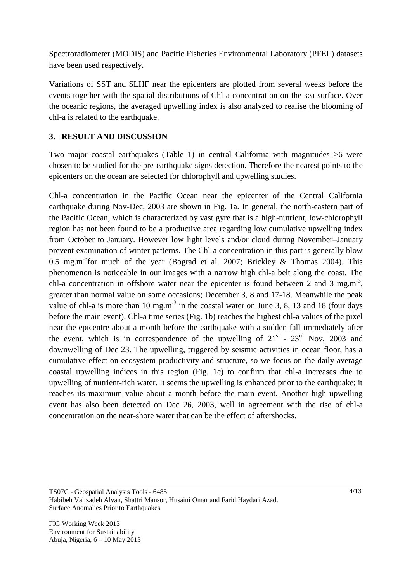Spectroradiometer (MODIS) and Pacific Fisheries Environmental Laboratory (PFEL) datasets have been used respectively.

Variations of SST and SLHF near the epicenters are plotted from several weeks before the events together with the spatial distributions of Chl-a concentration on the sea surface. Over the oceanic regions, the averaged upwelling index is also analyzed to realise the blooming of chl-a is related to the earthquake.

# **3. RESULT AND DISCUSSION**

Two major coastal earthquakes (Table 1) in central California with magnitudes >6 were chosen to be studied for the pre-earthquake signs detection. Therefore the nearest points to the epicenters on the ocean are selected for chlorophyll and upwelling studies.

Chl-a concentration in the Pacific Ocean near the epicenter of the Central California earthquake during Nov-Dec, 2003 are shown in Fig. 1a. In general, the north-eastern part of the Pacific Ocean, which is characterized by vast gyre that is a high-nutrient, low-chlorophyll region has not been found to be a productive area regarding low cumulative upwelling index from October to January. However low light levels and/or cloud during November–January prevent examination of winter patterns. The Chl-a concentration in this part is generally blow 0.5 mg.m<sup>-3</sup> for much of the year (Bograd et al. 2007; Brickley & Thomas 2004). This phenomenon is noticeable in our images with a narrow high chl-a belt along the coast. The chl-a concentration in offshore water near the epicenter is found between 2 and 3 mg.m<sup>-3</sup>, greater than normal value on some occasions; December 3, 8 and 17-18. Meanwhile the peak value of chl-a is more than 10 mg.m<sup>-3</sup> in the coastal water on June 3, 8, 13 and 18 (four days before the main event). Chl-a time series (Fig. 1b) reaches the highest chl-a values of the pixel near the epicentre about a month before the earthquake with a sudden fall immediately after the event, which is in correspondence of the upwelling of  $21<sup>st</sup>$  -  $23<sup>rd</sup>$  Nov, 2003 and downwelling of Dec 23. The upwelling, triggered by seismic activities in ocean floor, has a cumulative effect on ecosystem productivity and structure, so we focus on the daily average coastal upwelling indices in this region (Fig. 1c) to confirm that chl-a increases due to upwelling of nutrient-rich water. It seems the upwelling is enhanced prior to the earthquake; it reaches its maximum value about a month before the main event. Another high upwelling event has also been detected on Dec 26, 2003, well in agreement with the rise of chl-a concentration on the near-shore water that can be the effect of aftershocks.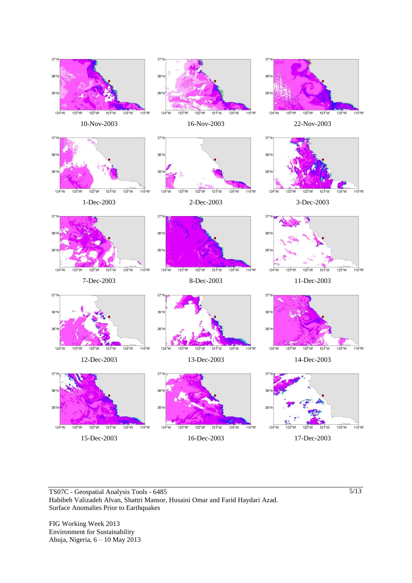

TS07C - Geospatial Analysis Tools - 6485 Habibeh Valizadeh Alvan, Shattri Mansor, Husaini Omar and Farid Haydari Azad. Surface Anomalies Prior to Earthquakes

FIG Working Week 2013 Environment for Sustainability Abuja, Nigeria, 6 – 10 May 2013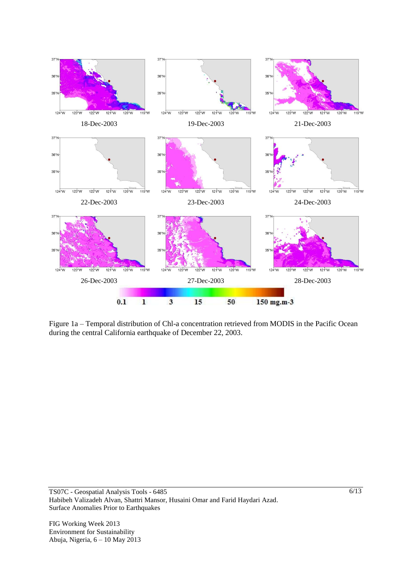

Figure 1a – Temporal distribution of Chl-a concentration retrieved from MODIS in the Pacific Ocean during the central California earthquake of December 22, 2003.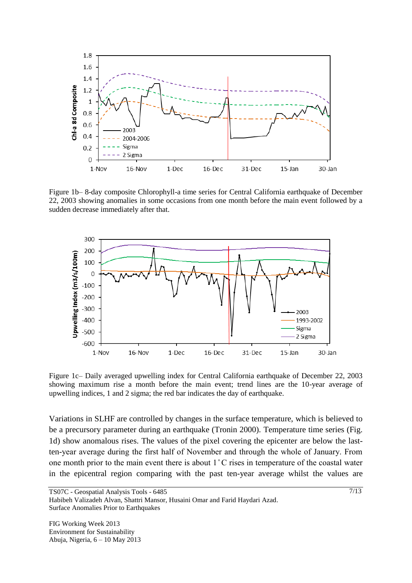

Figure 1b– 8-day composite Chlorophyll-a time series for Central California earthquake of December 22, 2003 showing anomalies in some occasions from one month before the main event followed by a sudden decrease immediately after that.



Figure 1c– Daily averaged upwelling index for Central California earthquake of December 22, 2003 showing maximum rise a month before the main event; trend lines are the 10-year average of upwelling indices, 1 and 2 sigma; the red bar indicates the day of earthquake.

Variations in SLHF are controlled by changes in the surface temperature, which is believed to be a precursory parameter during an earthquake (Tronin 2000). Temperature time series (Fig. 1d) show anomalous rises. The values of the pixel covering the epicenter are below the lastten-year average during the first half of November and through the whole of January. From one month prior to the main event there is about  $1^{\circ}$ C rises in temperature of the coastal water in the epicentral region comparing with the past ten-year average whilst the values are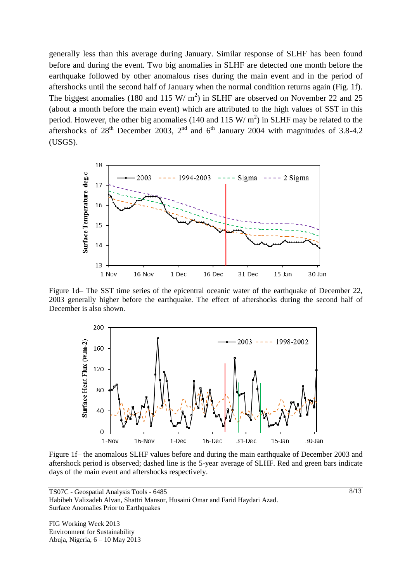generally less than this average during January. Similar response of SLHF has been found before and during the event. Two big anomalies in SLHF are detected one month before the earthquake followed by other anomalous rises during the main event and in the period of aftershocks until the second half of January when the normal condition returns again (Fig. 1f). The biggest anomalies (180 and 115 W/  $m<sup>2</sup>$ ) in SLHF are observed on November 22 and 25 (about a month before the main event) which are attributed to the high values of SST in this period. However, the other big anomalies (140 and 115 W/  $m^2$ ) in SLHF may be related to the aftershocks of  $28<sup>th</sup>$  December 2003,  $2<sup>nd</sup>$  and  $6<sup>th</sup>$  January 2004 with magnitudes of 3.8-4.2 (USGS).



Figure 1d– The SST time series of the epicentral oceanic water of the earthquake of December 22, 2003 generally higher before the earthquake. The effect of aftershocks during the second half of December is also shown.



Figure 1f– the anomalous SLHF values before and during the main earthquake of December 2003 and aftershock period is observed; dashed line is the 5-year average of SLHF. Red and green bars indicate days of the main event and aftershocks respectively.

TS07C - Geospatial Analysis Tools - 6485 Habibeh Valizadeh Alvan, Shattri Mansor, Husaini Omar and Farid Haydari Azad. Surface Anomalies Prior to Earthquakes

FIG Working Week 2013 Environment for Sustainability Abuja, Nigeria, 6 – 10 May 2013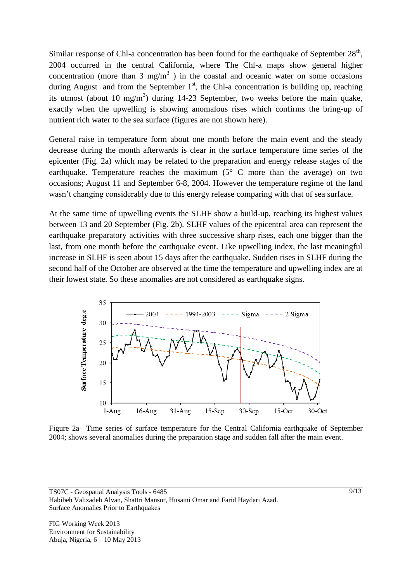Similar response of Chl-a concentration has been found for the earthquake of September  $28<sup>th</sup>$ , 2004 occurred in the central California, where The Chl-a maps show general higher concentration (more than 3 mg/m<sup>3</sup>) in the coastal and oceanic water on some occasions during August and from the September  $1<sup>st</sup>$ , the Chl-a concentration is building up, reaching its utmost (about 10 mg/m<sup>3</sup>) during 14-23 September, two weeks before the main quake, exactly when the upwelling is showing anomalous rises which confirms the bring-up of nutrient rich water to the sea surface (figures are not shown here).

General raise in temperature form about one month before the main event and the steady decrease during the month afterwards is clear in the surface temperature time series of the epicenter (Fig. 2a) which may be related to the preparation and energy release stages of the earthquake. Temperature reaches the maximum  $(5^{\circ} \text{ C}$  more than the average) on two occasions; August 11 and September 6-8, 2004. However the temperature regime of the land wasn't changing considerably due to this energy release comparing with that of sea surface.

At the same time of upwelling events the SLHF show a build-up, reaching its highest values between 13 and 20 September (Fig. 2b). SLHF values of the epicentral area can represent the earthquake preparatory activities with three successive sharp rises, each one bigger than the last, from one month before the earthquake event. Like upwelling index, the last meaningful increase in SLHF is seen about 15 days after the earthquake. Sudden rises in SLHF during the second half of the October are observed at the time the temperature and upwelling index are at their lowest state. So these anomalies are not considered as earthquake signs.



Figure 2a– Time series of surface temperature for the Central California earthquake of September 2004; shows several anomalies during the preparation stage and sudden fall after the main event.

TS07C - Geospatial Analysis Tools - 6485 Habibeh Valizadeh Alvan, Shattri Mansor, Husaini Omar and Farid Haydari Azad. Surface Anomalies Prior to Earthquakes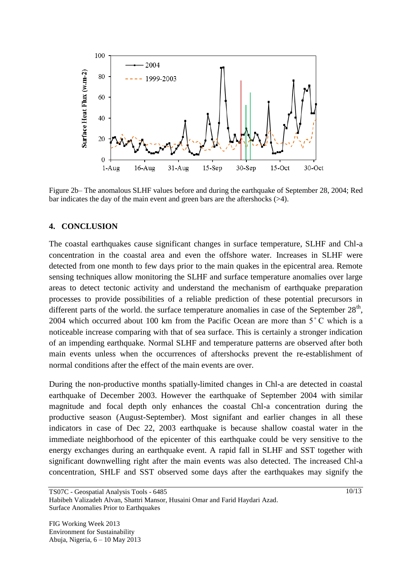

Figure 2b– The anomalous SLHF values before and during the earthquake of September 28, 2004; Red bar indicates the day of the main event and green bars are the aftershocks (>4).

### **4. CONCLUSION**

The coastal earthquakes cause significant changes in surface temperature, SLHF and Chl-a concentration in the coastal area and even the offshore water. Increases in SLHF were detected from one month to few days prior to the main quakes in the epicentral area. Remote sensing techniques allow monitoring the SLHF and surface temperature anomalies over large areas to detect tectonic activity and understand the mechanism of earthquake preparation processes to provide possibilities of a reliable prediction of these potential precursors in different parts of the world. the surface temperature anomalies in case of the September  $28<sup>th</sup>$ , 2004 which occurred about 100 km from the Pacific Ocean are more than  $5^{\circ}$ C which is a noticeable increase comparing with that of sea surface. This is certainly a stronger indication of an impending earthquake. Normal SLHF and temperature patterns are observed after both main events unless when the occurrences of aftershocks prevent the re-establishment of normal conditions after the effect of the main events are over.

During the non-productive months spatially-limited changes in Chl-a are detected in coastal earthquake of December 2003. However the earthquake of September 2004 with similar magnitude and focal depth only enhances the coastal Chl-a concentration during the productive season (August-September). Most signifant and earlier changes in all these indicators in case of Dec 22, 2003 earthquake is because shallow coastal water in the immediate neighborhood of the epicenter of this earthquake could be very sensitive to the energy exchanges during an earthquake event. A rapid fall in SLHF and SST together with significant downwelling right after the main events was also detected. The increased Chl-a concentration, SHLF and SST observed some days after the earthquakes may signify the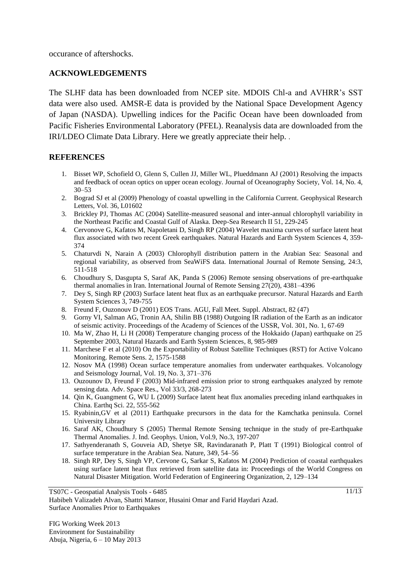occurance of aftershocks.

### **ACKNOWLEDGEMENTS**

The SLHF data has been downloaded from NCEP site. MDOIS Chl-a and AVHRR's SST data were also used. AMSR-E data is provided by the National Space Development Agency of Japan (NASDA). Upwelling indices for the Pacific Ocean have been downloaded from Pacific Fisheries Environmental Laboratory (PFEL). Reanalysis data are downloaded from the IRI/LDEO Climate Data Library. Here we greatly appreciate their help. .

### **REFERENCES**

- 1. Bisset WP, Schofield O, Glenn S, Cullen JJ, Miller WL, Plueddmann AJ (2001) Resolving the impacts and feedback of ocean optics on upper ocean ecology. Journal of Oceanography Society, Vol. 14, No. 4, 30–53
- 2. Bograd SJ et al (2009) Phenology of coastal upwelling in the California Current. Geophysical Research Letters, Vol. 36, L01602
- 3. Brickley PJ, Thomas AC (2004) Satellite-measured seasonal and inter-annual chlorophyll variability in the Northeast Pacific and Coastal Gulf of Alaska. Deep-Sea Research II 51, 229-245
- 4. Cervonove G, Kafatos M, Napoletani D, Singh RP (2004) Wavelet maxima curves of surface latent heat flux associated with two recent Greek earthquakes. Natural Hazards and Earth System Sciences 4, 359- 374
- 5. Chaturvdi N, Narain A (2003) Chlorophyll distribution pattern in the Arabian Sea: Seasonal and regional variability, as observed from SeaWiFS data. International Journal of Remote Sensing, 24:3, 511-518
- 6. Choudhury S, Dasgupta S, Saraf AK, Panda S (2006) Remote sensing observations of pre-earthquake thermal anomalies in Iran. International Journal of Remote Sensing 27(20), 4381–4396
- 7. Dey S, Singh RP (2003) Surface latent heat flux as an earthquake precursor. Natural Hazards and Earth System Sciences 3, 749-755
- 8. Freund F, Ouzonouv D (2001) EOS Trans. AGU, Fall Meet. Suppl. Abstract, 82 (47)
- 9. Gorny VI, Salman AG, Tronin AA, Shilin BB (1988) Outgoing IR radiation of the Earth as an indicator of seismic activity. Proceedings of the Academy of Sciences of the USSR, Vol. 301, No. 1, 67-69
- 10. Ma W, Zhao H, Li H (2008) Temperature changing process of the Hokkaido (Japan) earthquake on 25 September 2003, Natural Hazards and Earth System Sciences, 8, 985-989
- 11. Marchese F et al (2010) On the Exportability of Robust Satellite Techniques (RST) for Active Volcano Monitoring. Remote Sens. 2, 1575-1588
- 12. Nosov MA (1998) Ocean surface temperature anomalies from underwater earthquakes. Volcanology and Seismology Journal, Vol. 19, No. 3, 371–376
- 13. Ouzounov D, Freund F (2003) Mid-infrared emission prior to strong earthquakes analyzed by remote sensing data. Adv. Space Res., Vol 33/3, 268-273
- 14. Qin K, Guangment G, WU L (2009) Surface latent heat flux anomalies preceding inland earthquakes in China. Earthq Sci. 22, 555-562
- 15. Ryabinin,GV et al (2011) Earthquake precursors in the data for the Kamchatka peninsula. Cornel University Library
- 16. Saraf AK, Choudhury S (2005) Thermal Remote Sensing technique in the study of pre-Earthquake Thermal Anomalies. J. Ind. Geophys. Union, Vol.9, No.3, 197-207
- 17. Sathyenderanath S, Gouveia AD, Shetye SR, Ravindaranath P, Platt T (1991) Biological control of surface temperature in the Arabian Sea. Nature, 349, 54–56
- 18. Singh RP, Dey S, Singh VP, Cervone G, Sarkar S, Kafatos M (2004) Prediction of coastal earthquakes using surface latent heat flux retrieved from satellite data in: Proceedings of the World Congress on Natural Disaster Mitigation. World Federation of Engineering Organization, 2, 129–134

Habibeh Valizadeh Alvan, Shattri Mansor, Husaini Omar and Farid Haydari Azad. Surface Anomalies Prior to Earthquakes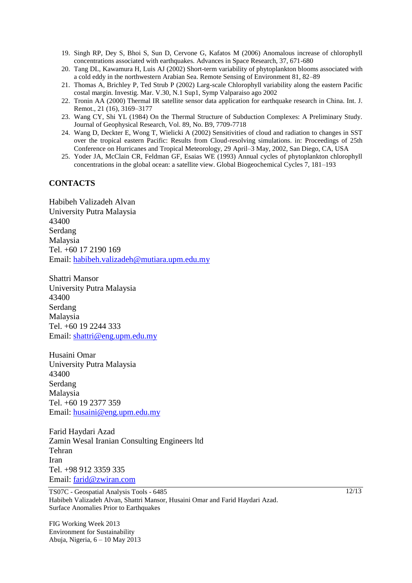- 19. Singh RP, Dey S, Bhoi S, Sun D, Cervone G, Kafatos M (2006) Anomalous increase of chlorophyll concentrations associated with earthquakes. Advances in Space Research, 37, 671-680
- 20. Tang DL, Kawamura H, Luis AJ (2002) Short-term variability of phytoplankton blooms associated with a cold eddy in the northwestern Arabian Sea. Remote Sensing of Environment 81, 82–89
- 21. Thomas A, Brichley P, Ted Strub P (2002) Larg-scale Chlorophyll variability along the eastern Pacific costal margin. Investig. Mar. V.30, N.1 Sup1, Symp Valparaiso ago 2002
- 22. Tronin AA (2000) Thermal IR satellite sensor data application for earthquake research in China. Int. J. Remot., 21 (16), 3169–3177
- 23. Wang CY, Shi YL (1984) On the Thermal Structure of Subduction Complexes: A Preliminary Study. Journal of Geophysical Research, Vol. 89, No. B9, 7709-7718
- 24. Wang D, Deckter E, Wong T, Wielicki A (2002) Sensitivities of cloud and radiation to changes in SST over the tropical eastern Pacific: Results from Cloud-resolving simulations. in: Proceedings of 25th Conference on Hurricanes and Tropical Meteorology, 29 April–3 May, 2002, San Diego, CA, USA
- 25. Yoder JA, McClain CR, Feldman GF, Esaias WE (1993) Annual cycles of phytoplankton chlorophyll concentrations in the global ocean: a satellite view. Global Biogeochemical Cycles 7, 181–193

#### **CONTACTS**

Habibeh Valizadeh Alvan University Putra Malaysia 43400 Serdang Malaysia Tel. +60 17 2190 169 Email: [habibeh.valizadeh@mutiara.upm.edu.my](mailto:habibeh.valizadeh@mutiara.upm.edu.my)

Shattri Mansor University Putra Malaysia 43400 Serdang Malaysia Tel. +60 19 2244 333 Email: [shattri@eng.upm.edu.my](mailto:shattri@eng.upm.edu.my)

Husaini Omar University Putra Malaysia 43400 Serdang Malaysia Tel. +60 19 2377 359 Email: [husaini@eng.upm.edu.my](mailto:husaini@eng.upm.edu.my)

Farid Haydari Azad Zamin Wesal Iranian Consulting Engineers ltd Tehran Iran Tel. +98 912 3359 335 Email: [farid@zwiran.com](mailto:farid@zwiran.com)

TS07C - Geospatial Analysis Tools - 6485 Habibeh Valizadeh Alvan, Shattri Mansor, Husaini Omar and Farid Haydari Azad. Surface Anomalies Prior to Earthquakes

FIG Working Week 2013 Environment for Sustainability Abuja, Nigeria, 6 – 10 May 2013 12/13